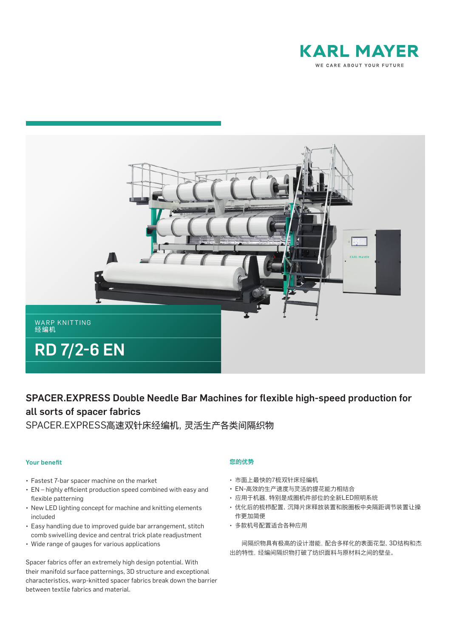



# SPACER.EXPRESS Double Needle Bar Machines for flexible high-speed production for all sorts of spacer fabrics

SPACER.EXPRESS高速双针床经编机,灵活生产各类间隔织物

#### Your benefit

- Fastest 7-bar spacer machine on the market
- EN highly efficient production speed combined with easy and flexible patterning
- New LED lighting concept for machine and knitting elements included
- Easy handling due to improved guide bar arrangement, stitch comb swivelling device and central trick plate readjustment
- Wide range of gauges for various applications

Spacer fabrics offer an extremely high design potential. With their manifold surface patternings, 3D structure and exceptional characteristics, warp-knitted spacer fabrics break down the barrier between textile fabrics and material.

# 您的优势

- 市面上最快的7梳双针床经编机
- EN-高效的生产速度与灵活的提花能力相结合
- 应用于机器,特别是成圈机件部位的全新LED照明系统
- 优化后的梳栉配置、沉降片床释放装置和脱圈板中央隔距调节装置让操 作更加简便
- 多款机号配置适合各种应用

 间隔织物具有极高的设计潜能,配合多样化的表面花型、3D结构和杰 出的特性,经编间隔织物打破了纺织面料与原材料之间的壁垒。